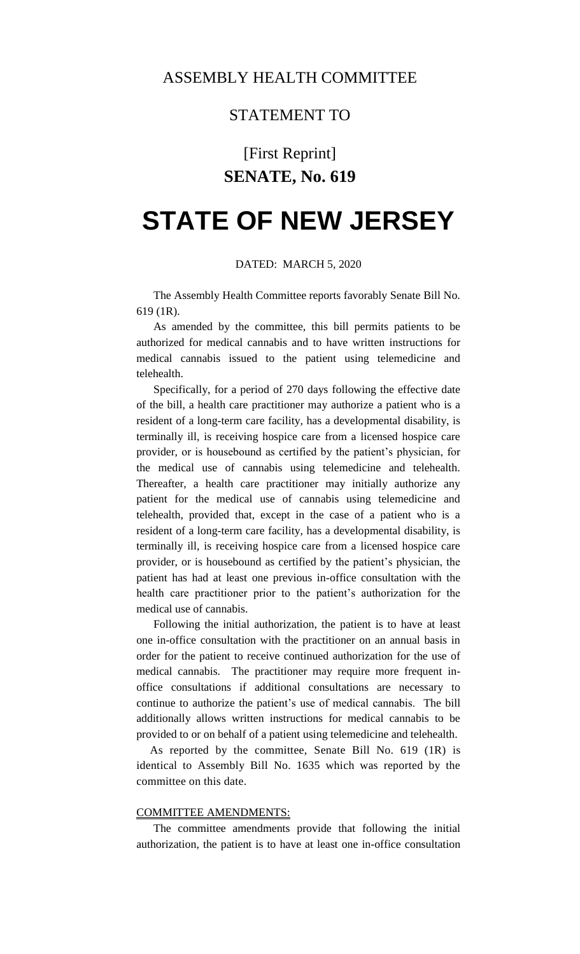### STATEMENT TO

## [First Reprint] **SENATE, No. 619**

# **STATE OF NEW JERSEY**

#### DATED: MARCH 5, 2020

The Assembly Health Committee reports favorably Senate Bill No. 619 (1R).

As amended by the committee, this bill permits patients to be authorized for medical cannabis and to have written instructions for medical cannabis issued to the patient using telemedicine and telehealth.

Specifically, for a period of 270 days following the effective date of the bill, a health care practitioner may authorize a patient who is a resident of a long-term care facility, has a developmental disability, is terminally ill, is receiving hospice care from a licensed hospice care provider, or is housebound as certified by the patient's physician, for the medical use of cannabis using telemedicine and telehealth. Thereafter, a health care practitioner may initially authorize any patient for the medical use of cannabis using telemedicine and telehealth, provided that, except in the case of a patient who is a resident of a long-term care facility, has a developmental disability, is terminally ill, is receiving hospice care from a licensed hospice care provider, or is housebound as certified by the patient's physician, the patient has had at least one previous in-office consultation with the health care practitioner prior to the patient's authorization for the medical use of cannabis.

Following the initial authorization, the patient is to have at least one in-office consultation with the practitioner on an annual basis in order for the patient to receive continued authorization for the use of medical cannabis. The practitioner may require more frequent inoffice consultations if additional consultations are necessary to continue to authorize the patient's use of medical cannabis. The bill additionally allows written instructions for medical cannabis to be provided to or on behalf of a patient using telemedicine and telehealth.

As reported by the committee, Senate Bill No. 619 (1R) is identical to Assembly Bill No. 1635 which was reported by the committee on this date.

### COMMITTEE AMENDMENTS:

The committee amendments provide that following the initial authorization, the patient is to have at least one in-office consultation